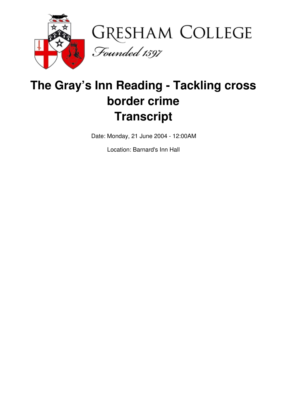



## **The Gray's Inn Reading - Tackling cross border crime Transcript**

Date: Monday, 21 June 2004 - 12:00AM

Location: Barnard's Inn Hall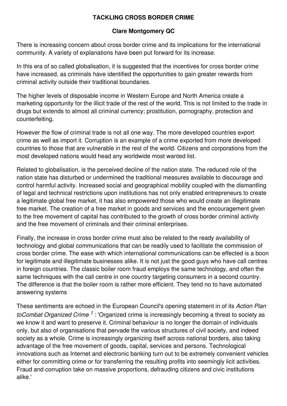## **TACKLING CROSS BORDER CRIME**

## **Clare Montgomery QC**

There is increasing concern about cross border crime and its implications for the international community. A variety of explanations have been put forward for its increase.

In this era of so called globalisation, it is suggested that the incentives for cross border crime have increased, as criminals have identified the opportunities to gain greater rewards from criminal activity outside their traditional boundaries.

The higher levels of disposable income in Western Europe and North America create a marketing opportunity for the illicit trade of the rest of the world. This is not limited to the trade in drugs but extends to almost all criminal currency; prostitution, pornography, protection and counterfeiting.

However the flow of criminal trade is not all one way. The more developed countries export crime as well as import it. Corruption is an example of a crime exported from more developed countries to those that are vulnerable in the rest of the world. Citizens and corporations from the most developed nations would head any worldwide most wanted list.

Related to globalisation, is the perceived decline of the nation state. The reduced role of the nation state has disturbed or undermined the traditional measures available to discourage and control harmful activity. Increased social and geographical mobility coupled with the dismantling of legal and technical restrictions upon institutions has not only enabled entrepreneurs to create a legitimate global free market, it has also empowered those who would create an illegitimate free market. The creation of a free market in goods and services and the encouragement given to the free movement of capital has contributed to the growth of cross border criminal activity and the free movement of criminals and their criminal enterprises.

Finally, the increase in cross border crime must also be related to the ready availability of technology and global communications that can be readily used to facilitate the commission of cross border crime. The ease with which international communications can be effected is a boon for legitimate and illegitimate businesses alike. It is not just the good guys who have call centres in foreign countries. The classic boiler room fraud employs the same technology, and often the same techniques with the call centre in one country targeting consumers in a second country. The difference is that the boiler room is rather more efficient. They tend no to have automated answering systems

These sentiments are echoed in the European Council's opening statement in of its *Action Plan* toCombat Organized Crime<sup>1</sup>: 'Organized crime is increasingly becoming a threat to society as we know it and want to preserve it. Criminal behaviour is no longer the domain of individuals only, but also of organisations that pervade the various structures of civil society, and indeed society as a whole. Crime is increasingly organizing itself across national borders, also taking advantage of the free movement of goods, capital, services and persons. Technological innovations such as Internet and electronic banking turn out to be extremely convenient vehicles either for committing crime or for transferring the resulting profits into seemingly licit activities. Fraud and corruption take on massive proportions, defrauding citizens and civic institutions alike.'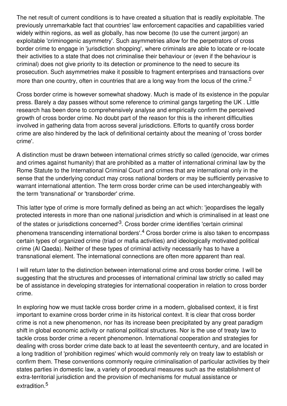The net result of current conditions is to have created a situation that is readily exploitable. The previously unremarkable fact that countries' law enforcement capacities and capabilities varied widely within regions, as well as globally, has now become (to use the current jargon) an exploitable 'criminogenic asymmetry'. Such asymmetries allow for the perpetrators of cross border crime to engage in 'jurisdiction shopping', where criminals are able to locate or re-locate their activities to a state that does not criminalise their behaviour or (even if the behaviour is criminal) does not give priority to its detection or prominence to the need to secure its prosecution. Such asymmetries make it possible to fragment enterprises and transactions over more than one country, often in countries that are a long way from the locus of the crime.<sup>2</sup>

Cross border crime is however somewhat shadowy. Much is made of its existence in the popular press. Barely a day passes without some reference to criminal gangs targeting the UK . Little research has been done to comprehensively analyse and empirically confirm the perceived growth of cross border crime. No doubt part of the reason for this is the inherent difficulties involved in gathering data from across several jurisdictions. Efforts to quantify cross border crime are also hindered by the lack of definitional certainty about the meaning of 'cross border crime'.

A distinction must be drawn between international crimes strictly so called (genocide, war crimes and crimes against humanity) that are prohibited as a matter of international criminal law by the Rome Statute to the International Criminal Court and crimes that are international only in the sense that the underlying conduct may cross national borders or may be sufficiently pervasive to warrant international attention. The term cross border crime can be used interchangeably with the term 'transnational' or 'transborder' crime.

This latter type of crime is more formally defined as being an act which: 'jeopardises the legally protected interests in more than one national jurisdiction and which is criminalised in at least one of the states or jurisdictions concerned'<sup>3</sup>. Cross border crime identifies 'certain criminal phenomena transcending international borders'.<sup>4</sup> Cross border crime is also taken to encompass certain types of organized crime (triad or mafia activities) and ideologically motivated political crime (Al Qaeda). Neither of these types of criminal activity necessarily has to have a transnational element. The international connections are often more apparent than real.

I will return later to the distinction between international crime and cross border crime. I will be suggesting that the structures and processes of international criminal law strictly so called may be of assistance in developing strategies for international cooperation in relation to cross border crime.

In exploring how we must tackle cross border crime in a modern, globalised context, it is first important to examine cross border crime in its historical context. It is clear that cross border crime is not a new phenomenon, nor has its increase been precipitated by any great paradigm shift in global economic activity or national political structures. Nor is the use of treaty law to tackle cross border crime a recent phenomenon. International cooperation and strategies for dealing with cross border crime date back to at least the seventeenth century, and are located in a long tradition of 'prohibition regimes' which would commonly rely on treaty law to establish or confirm them. These conventions commonly require criminalisation of particular activities by their states parties in domestic law, a variety of procedural measures such as the establishment of extra-territorial jurisdiction and the provision of mechanisms for mutual assistance or extradition. 5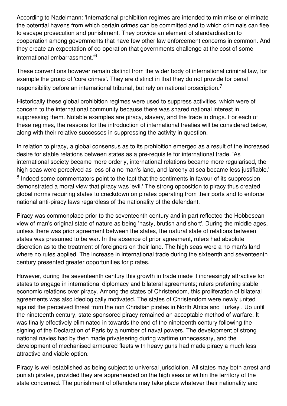According to Nadelmann: 'International prohibition regimes are intended to minimise or eliminate the potential havens from which certain crimes can be committed and to which criminals can flee to escape prosecution and punishment. They provide an element of standardisation to cooperation among governments that have few other law enforcement concerns in common. And they create an expectation of co-operation that governments challenge at the cost of some international embarrassment.' 6

These conventions however remain distinct from the wider body of international criminal law, for example the group of 'core crimes'. They are distinct in that they do not provide for penal responsibility before an international tribunal, but rely on national proscription.<sup>7</sup>

Historically these global prohibition regimes were used to suppress activities, which were of concern to the international community because there was shared national interest in suppressing them. Notable examples are piracy, slavery, and the trade in drugs. For each of these regimes, the reasons for the introduction of international treaties will be considered below, along with their relative successes in suppressing the activity in question.

In relation to piracy, a global consensus as to its prohibition emerged as a result of the increased desire for stable relations between states as a pre-requisite for international trade. 'As international society became more orderly, international relations became more regularised, the high seas were perceived as less of a no man's land, and larceny at sea became less justifiable.' <sup>8</sup> Indeed some commentators point to the fact that the sentiments in favour of its suppression demonstrated a moral view that piracy was 'evil.' The strong opposition to piracy thus created global norms requiring states to crackdown on pirates operating from their ports and to enforce national anti-piracy laws regardless of the nationality of the defendant.

Piracy was commonplace prior to the seventeenth century and in part reflected the Hobbesean view of man's original state of nature as being 'nasty, brutish and short'. During the middle ages, unless there was prior agreement between the states, the natural state of relations between states was presumed to be war. In the absence of prior agreement, rulers had absolute discretion as to the treatment of foreigners on their land. The high seas were a no man's land where no rules applied. The increase in international trade during the sixteenth and seventeenth century presented greater opportunities for pirates.

However, during the seventeenth century this growth in trade made it increasingly attractive for states to engage in international diplomacy and bilateral agreements; rulers preferring stable economic relations over piracy. Among the states of Christendom, this proliferation of bilateral agreements was also ideologically motivated. The states of Christendom were newly united against the perceived threat from the non Christian pirates in North Africa and Turkey . Up until the nineteenth century, state sponsored piracy remained an acceptable method of warfare. It was finally effectively eliminated in towards the end of the nineteenth century following the signing of the Declaration of Paris by a number of naval powers. The development of strong national navies had by then made privateering during wartime unnecessary, and the development of mechanised armoured fleets with heavy guns had made piracy a much less attractive and viable option.

Piracy is well established as being subject to universal jurisdiction. All states may both arrest and punish pirates, provided they are apprehended on the high seas or within the territory of the state concerned. The punishment of offenders may take place whatever their nationality and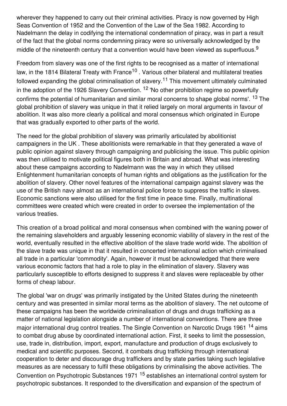wherever they happened to carry out their criminal activities. Piracy is now governed by High Seas Convention of 1952 and the Convention of the Law of the Sea 1982. According to Nadelmann the delay in codifying the international condemnation of piracy, was in part a result of the fact that the global norms condemning piracy were so universally acknowledged by the middle of the nineteenth century that a convention would have been viewed as superfluous.<sup>9</sup>

Freedom from slavery was one of the first rights to be recognised as a matter of international law, in the 1814 Bilateral Treaty with France<sup>10</sup> . Various other bilateral and multilateral treaties followed expanding the global criminalisation of slavery.<sup>11</sup> This movement ultimately culminated in the adoption of the 1926 Slavery Convention. <sup>12</sup> 'No other prohibition regime so powerfully confirms the potential of humanitarian and similar moral concerns to shape global norms'. <sup>13</sup> The global prohibition of slavery was unique in that it relied largely on moral arguments in favour of abolition. It was also more clearly a political and moral consensus which originated in Europe that was gradually exported to other parts of the world.

The need for the global prohibition of slavery was primarily articulated by abolitionist campaigners in the UK . These abolitionists were remarkable in that they generated a wave of public opinion against slavery through campaigning and publicising the issue. This public opinion was then utilised to motivate political figures both in Britain and abroad. What was interesting about these campaigns according to Nadelmann was the way in which they utilised Enlightenment humanitarian concepts of human rights and obligations as the justification for the abolition of slavery. Other novel features of the international campaign against slavery was the use of the British navy almost as an international police force to suppress the traffic in slaves. Economic sanctions were also utilised for the first time in peace time. Finally, multinational committees were created which were created in order to oversee the implementation of the various treaties.

This creation of a broad political and moral consensus when combined with the waning power of the remaining slaveholders and arguably lessening economic viability of slavery in the rest of the world, eventually resulted in the effective abolition of the slave trade world wide. The abolition of the slave trade was unique in that it resulted in concerted international action which criminalised all trade in a particular 'commodity'. Again, however it must be acknowledged that there were various economic factors that had a role to play in the elimination of slavery. Slavery was particularly susceptible to efforts designed to suppress it and slaves were replaceable by other forms of cheap labour.

The global 'war on drugs' was primarily instigated by the United States during the nineteenth century and was presented in similar moral terms as the abolition of slavery. The net outcome of these campaigns has been the worldwide criminalisation of drugs and drugs trafficking as a matter of national legislation alongside a number of international conventions. There are three major international drug control treaties. The Single Convention on Narcotic Drugs 1961 <sup>14</sup> aims to combat drug abuse by coordinated international action. First, it seeks to limit the possession, use, trade in, distribution, import, export, manufacture and production of drugs exclusively to medical and scientific purposes. Second, it combats drug trafficking through international cooperation to deter and discourage drug traffickers and by state parties taking such legislative measures as are necessary to fulfil these obligations by criminalising the above activities. The Convention on Psychotropic Substances 1971 <sup>15</sup> establishes an international control system for psychotropic substances. It responded to the diversification and expansion of the spectrum of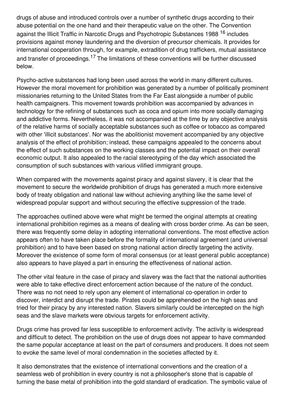drugs of abuse and introduced controls over a number of synthetic drugs according to their abuse potential on the one hand and their therapeutic value on the other. The Convention against the Illicit Traffic in Narcotic Drugs and Psychotropic Substances 1988 <sup>16</sup> includes provisions against money laundering and the diversion of precursor chemicals. It provides for international cooperation through, for example, extradition of drug traffickers, mutual assistance and transfer of proceedings.<sup>17</sup> The limitations of these conventions will be further discussed below.

Psycho-active substances had long been used across the world in many different cultures. However the moral movement for prohibition was generated by a number of politically prominent missionaries returning to the United States from the Far East alongside a number of public health campaigners. This movement towards prohibition was accompanied by advances in technology for the refining of substances such as coca and opium into more socially damaging and addictive forms. Nevertheless, it was not accompanied at the time by any objective analysis of the relative harms of socially acceptable substances such as coffee or tobacco as compared with other 'illicit substances'. Nor was the abolitionist movement accompanied by any objective analysis of the effect of prohibition; instead, these campaigns appealed to the concerns about the effect of such substances on the working classes and the potential impact on their overall economic output. It also appealed to the racial stereotyping of the day which associated the consumption of such substances with various vilified immigrant groups.

When compared with the movements against piracy and against slavery, it is clear that the movement to secure the worldwide prohibition of drugs has generated a much more extensive body of treaty obligation and national law without achieving anything like the same level of widespread popular support and without securing the effective suppression of the trade.

The approaches outlined above were what might be termed the original attempts at creating international prohibition regimes as a means of dealing with cross border crime. As can be seen, there was frequently some delay in adopting international conventions. The most effective action appears often to have taken place before the formality of international agreement (and universal prohibition) and to have been based on strong national action directly targeting the activity. Moreover the existence of some form of moral consensus (or at least general public acceptance) also appears to have played a part in ensuring the effectiveness of national action.

The other vital feature in the case of piracy and slavery was the fact that the national authorities were able to take effective direct enforcement action because of the nature of the conduct. There was no not need to rely upon any element of international co-operation in order to discover, interdict and disrupt the trade. Pirates could be apprehended on the high seas and tried for their piracy by any interested nation. Slavers similarly could be intercepted on the high seas and the slave markets were obvious targets for enforcement activity.

Drugs crime has proved far less susceptible to enforcement activity. The activity is widespread and difficult to detect. The prohibition on the use of drugs does not appear to have commanded the same popular acceptance at least on the part of consumers and producers. It does not seem to evoke the same level of moral condemnation in the societies affected by it.

It also demonstrates that the existence of international conventions and the creation of a seamless web of prohibition in every country is not a philosopher's stone that is capable of turning the base metal of prohibition into the gold standard of eradication. The symbolic value of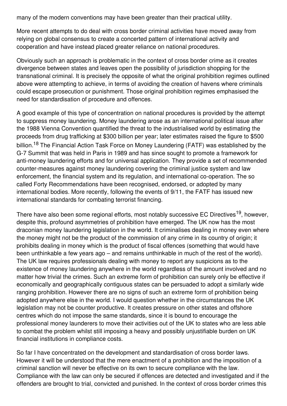many of the modern conventions may have been greater than their practical utility.

More recent attempts to do deal with cross border criminal activities have moved away from relying on global consensus to create a concerted pattern of international activity and cooperation and have instead placed greater reliance on national procedures.

Obviously such an approach is problematic in the context of cross border crime as it creates divergence between states and leaves open the possibility of jurisdiction shopping for the transnational criminal. It is precisely the opposite of what the original prohibition regimes outlined above were attempting to achieve, in terms of avoiding the creation of havens where criminals could escape prosecution or punishment. Those original prohibition regimes emphasised the need for standardisation of procedure and offences.

A good example of this type of concentration on national procedures is provided by the attempt to suppress money laundering. Money laundering arose as an international political issue after the 1988 Vienna Convention quantified the threat to the industrialised world by estimating the proceeds from drug trafficking at \$300 billion per year; later estimates raised the figure to \$500 billion.<sup>18</sup> The Financial Action Task Force on Money Laundering (FATF) was established by the G-7 Summit that was held in Paris in 1989 and has since sought to promote a framework for anti-money laundering efforts and for universal application. They provide a set of recommended counter-measures against money laundering covering the criminal justice system and law enforcement, the financial system and its regulation, and international co-operation. The so called Forty Recommendations have been recognised, endorsed, or adopted by many international bodies. More recently, following the events of 9/11, the FATF has issued new international standards for combating terrorist financing.

There have also been some regional efforts, most notably successive EC Directives<sup>19</sup>, however, despite this, profound asymmetries of prohibition have emerged. The UK now has the most draconian money laundering legislation in the world. It criminalises dealing in money even where the money might not be the product of the commission of any crime in its country of origin; it prohibits dealing in money which is the product of fiscal offences (something that would have been unthinkable a few years ago – and remains unthinkable in much of the rest of the world). The UK law requires professionals dealing with money to report any suspicions as to the existence of money laundering anywhere in the world regardless of the amount involved and no matter how trivial the crimes. Such an extreme form of prohibition can surely only be effective if economically and geographically contiguous states can be persuaded to adopt a similarly wide ranging prohibition. However there are no signs of such an extreme form of prohibition being adopted anywhere else in the world. I would question whether in the circumstances the UK legislation may not be counter productive. It creates pressure on other states and offshore centres which do not impose the same standards, since it is bound to encourage the professional money launderers to move their activities out of the UK to states who are less able to combat the problem whilst still imposing a heavy and possibly unjustifiable burden on UK financial institutions in compliance costs.

So far I have concentrated on the development and standardisation of cross border laws. However it will be understood that the mere enactment of a prohibition and the imposition of a criminal sanction will never be effective on its own to secure compliance with the law. Compliance with the law can only be secured if offences are detected and investigated and if the offenders are brought to trial, convicted and punished. In the context of cross border crimes this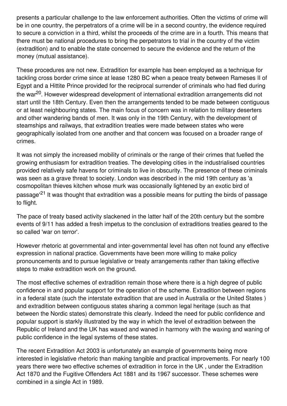presents a particular challenge to the law enforcement authorities. Often the victims of crime will be in one country, the perpetrators of a crime will be in a second country, the evidence required to secure a conviction in a third, whilst the proceeds of the crime are in a fourth. This means that there must be national procedures to bring the perpetrators to trial in the country of the victim (extradition) and to enable the state concerned to secure the evidence and the return of the money (mutual assistance).

These procedures are not new. Extradition for example has been employed as a technique for tackling cross border crime since at lease 1280 BC when a peace treaty between Rameses II of Egypt and a Hittite Prince provided for the reciprocal surrender of criminals who had fled during the war<sup>20</sup>. However widespread development of international extradition arrangements did not start until the 18th Century. Even then the arrangements tended to be made between contiguous or at least neighbouring states. The main focus of concern was in relation to military deserters and other wandering bands of men. It was only in the 19th Century, with the development of steamships and railways, that extradition treaties were made between states who were geographically isolated from one another and that concern was focused on a broader range of crimes.

It was not simply the increased mobility of criminals or the range of their crimes that fuelled the growing enthusiasm for extradition treaties. The developing cities in the industrialised countries provided relatively safe havens for criminals to live in obscurity. The presence of these criminals was seen as a grave threat to society. London was described in the mid 19th century as 'a cosmopolitan thieves kitchen whose murk was occasionally lightened by an exotic bird of passage'<sup>21</sup> It was thought that extradition was a possible means for putting the birds of passage to flight.

The pace of treaty based activity slackened in the latter half of the 20th century but the sombre events of 9/11 has added a fresh impetus to the conclusion of extraditions treaties geared to the so called 'war on terror'.

However rhetoric at governmental and inter-governmental level has often not found any effective expression in national practice. Governments have been more willing to make policy pronouncements and to pursue legislative or treaty arrangements rather than taking effective steps to make extradition work on the ground.

The most effective schemes of extradition remain those where there is a high degree of public confidence in and popular support for the operation of the scheme. Extradition between regions in a federal state (such the interstate extradition that are used in Australia or the United States ) and extradition between contiguous states sharing a common legal heritage (such as that between the Nordic states) demonstrate this clearly. Indeed the need for public confidence and popular support is starkly illustrated by the way in which the level of extradition between the Republic of Ireland and the UK has waxed and waned in harmony with the waxing and waning of public confidence in the legal systems of these states.

The recent Extradition Act 2003 is unfortunately an example of governments being more interested in legislative rhetoric than making tangible and practical improvements. For nearly 100 years there were two effective schemes of extradition in force in the UK , under the Extradition Act 1870 and the Fugitive Offenders Act 1881 and its 1967 successor. These schemes were combined in a single Act in 1989.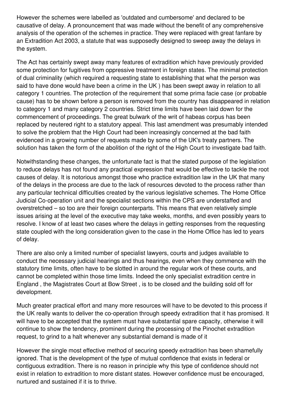However the schemes were labelled as 'outdated and cumbersome' and declared to be causative of delay. A pronouncement that was made without the benefit of any comprehensive analysis of the operation of the schemes in practice. They were replaced with great fanfare by an Extradition Act 2003, a statute that was supposedly designed to sweep away the delays in the system.

The Act has certainly swept away many features of extradition which have previously provided some protection for fugitives from oppressive treatment in foreign states. The minimal protection of dual criminality (which required a requesting state to establishing that what the person was said to have done would have been a crime in the UK ) has been swept away in relation to all category 1 countries. The protection of the requirement that some prima facie case (or probable cause) has to be shown before a person is removed from the country has disappeared in relation to category 1 and many category 2 countries. Strict time limits have been laid down for the commencement of proceedings. The great bulwark of the writ of habeas corpus has been replaced by neutered right to a statutory appeal. This last amendment was presumably intended to solve the problem that the High Court had been increasingly concerned at the bad faith evidenced in a growing number of requests made by some of the UK's treaty partners. The solution has taken the form of the abolition of the right of the High Court to investigate bad faith.

Notwithstanding these changes, the unfortunate fact is that the stated purpose of the legislation to reduce delays has not found any practical expression that would be effective to tackle the root causes of delay. It is notorious amongst those who practice extradition law in the UK that many of the delays in the process are due to the lack of resources devoted to the process rather than any particular technical difficulties created by the various legislative schemes. The Home Office Judicial Co-operation unit and the specialist sections within the CPS are understaffed and overstretched – so too are their foreign counterparts. This means that even relatively simple issues arising at the level of the executive may take weeks, months, and even possibly years to resolve. I know of at least two cases where the delays in getting responses from the requesting state coupled with the long consideration given to the case in the Home Office has led to years of delay.

There are also only a limited number of specialist lawyers, courts and judges available to conduct the necessary judicial hearings and thus hearings, even when they commence with the statutory time limits, often have to be slotted in around the regular work of these courts, and cannot be completed within those time limits. Indeed the only specialist extradition centre in England , the Magistrates Court at Bow Street , is to be closed and the building sold off for development.

Much greater practical effort and many more resources will have to be devoted to this process if the UK really wants to deliver the co-operation through speedy extradition that it has promised. It will have to be accepted that the system must have substantial spare capacity, otherwise it will continue to show the tendency, prominent during the processing of the Pinochet extradition request, to grind to a halt whenever any substantial demand is made of it

However the single most effective method of securing speedy extradition has been shamefully ignored. That is the development of the type of mutual confidence that exists in federal or contiguous extradition. There is no reason in principle why this type of confidence should not exist in relation to extradition to more distant states. However confidence must be encouraged, nurtured and sustained if it is to thrive.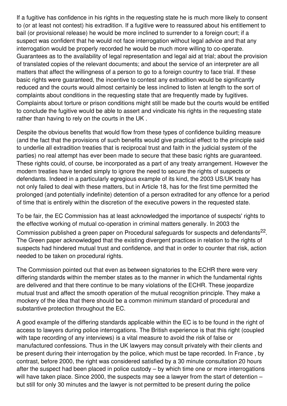If a fugitive has confidence in his rights in the requesting state he is much more likely to consent to (or at least not contest) his extradition. If a fugitive were to reassured about his entitlement to bail (or provisional release) he would be more inclined to surrender to a foreign court; if a suspect was confident that he would not face interrogation without legal advice and that any interrogation would be properly recorded he would be much more willing to co-operate. Guarantees as to the availability of legal representation and legal aid at trial; about the provision of translated copies of the relevant documents; and about the service of an interpreter are all matters that affect the willingness of a person to go to a foreign country to face trial. If these basic rights were guaranteed, the incentive to contest any extradition would be significantly reduced and the courts would almost certainly be less inclined to listen at length to the sort of complaints about conditions in the requesting state that are frequently made by fugitives. Complaints about torture or prison conditions might still be made but the courts would be entitled to conclude the fugitive would be able to assert and vindicate his rights in the requesting state rather than having to rely on the courts in the UK .

Despite the obvious benefits that would flow from these types of confidence building measure (and the fact that the provisions of such benefits would give practical effect to the principle said to underlie all extradition treaties that is reciprocal trust and faith in the judicial system of the parties) no real attempt has ever been made to secure that these basic rights are guaranteed. These rights could, of course, be incorporated as a part of any treaty arrangement. However the modern treaties have tended simply to ignore the need to secure the rights of suspects or defendants. Indeed in a particularly egregious example of its kind, the 2003 US/UK treaty has not only failed to deal with these matters, but in Article 18, has for the first time permitted the prolonged (and potentially indefinite) detention of a person extradited for any offence for a period of time that is entirely within the discretion of the executive powers in the requested state.

To be fair, the EC Commission has at least acknowledged the importance of suspects' rights to the effective working of mutual co-operation in criminal matters generally. In 2003 the Commission published a green paper on Procedural safeguards for suspects and defendants<sup>22</sup>. The Green paper acknowledged that the existing divergent practices in relation to the rights of suspects had hindered mutual trust and confidence, and that in order to counter that risk, action needed to be taken on procedural rights.

The Commission pointed out that even as between signatories to the ECHR there were very differing standards within the member states as to the manner in which the fundamental rights are delivered and that there continue to be many violations of the ECHR. These jeopardize mutual trust and affect the smooth operation of the mutual recognition principle. They make a mockery of the idea that there should be a common minimum standard of procedural and substantive protection throughout the EC.

A good example of the differing standards applicable within the EC is to be found in the right of access to lawyers during police interrogations. The British experience is that this right (coupled with tape recording of any interviews) is a vital measure to avoid the risk of false or manufactured confessions. Thus in the UK lawyers may consult privately with their clients and be present during their interrogation by the police, which must be tape recorded. In France , by contrast, before 2000, the right was considered satisfied by a 30 minute consultation 20 hours after the suspect had been placed in police custody – by which time one or more interrogations will have taken place. Since 2000, the suspects may see a lawyer from the start of detention – but still for only 30 minutes and the lawyer is not permitted to be present during the police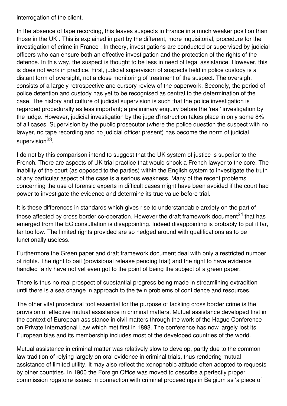interrogation of the client.

In the absence of tape recording, this leaves suspects in France in a much weaker position than those in the UK . This is explained in part by the different, more inquisitorial, procedure for the investigation of crime in France . In theory, investigations are conducted or supervised by judicial officers who can ensure both an effective investigation and the protection of the rights of the defence. In this way, the suspect is thought to be less in need of legal assistance. However, this is does not work in practice. First, judicial supervision of suspects held in police custody is a distant form of oversight, not a close monitoring of treatment of the suspect. The oversight consists of a largely retrospective and cursory review of the paperwork. Secondly, the period of police detention and custody has yet to be recognised as central to the determination of the case. The history and culture of judicial supervision is such that the police investigation is regarded procedurally as less important; a preliminary enquiry before the 'real' investigation by the judge. However, judicial investigation by the juge d'instruction takes place in only some 8% of all cases. Supervision by the public prosecutor (where the police question the suspect with no lawyer, no tape recording and no judicial officer present) has become the norm of judicial supervision<sup>23</sup>.

I do not by this comparison intend to suggest that the UK system of justice is superior to the French. There are aspects of UK trial practice that would shock a French lawyer to the core. The inability of the court (as opposed to the parties) within the English system to investigate the truth of any particular aspect of the case is a serious weakness. Many of the recent problems concerning the use of forensic experts in difficult cases might have been avoided if the court had power to investigate the evidence and determine its true value before trial.

It is these differences in standards which gives rise to understandable anxiety on the part of those affected by cross border co-operation. However the draft framework document<sup>24</sup> that has emerged from the EC consultation is disappointing. Indeed disappointing is probably to put it far, far too low. The limited rights provided are so hedged around with qualifications as to be functionally useless.

Furthermore the Green paper and draft framework document deal with only a restricted number of rights. The right to bail (provisional release pending trial) and the right to have evidence handled fairly have not yet even got to the point of being the subject of a green paper.

There is thus no real prospect of substantial progress being made in streamlining extradition until there is a sea change in approach to the twin problems of confidence and resources.

The other vital procedural tool essential for the purpose of tackling cross border crime is the provision of effective mutual assistance in criminal matters. Mutual assistance developed first in the context of European assistance in civil matters through the work of the Hague Conference on Private International Law which met first in 1893. The conference has now largely lost its European bias and its membership includes most of the developed countries of the world.

Mutual assistance in criminal matter was relatively slow to develop, partly due to the common law tradition of relying largely on oral evidence in criminal trials, thus rendering mutual assistance of limited utility. It may also reflect the xenophobic attitude often adopted to requests by other countries. In 1900 the Foreign Office was moved to describe a perfectly proper commission rogatoire issued in connection with criminal proceedings in Belgium as 'a piece of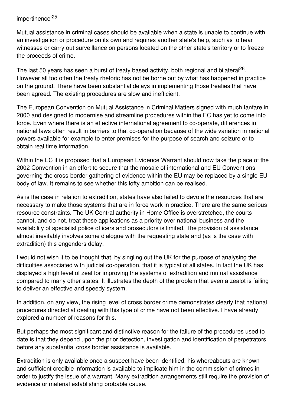## impertinence' 25

Mutual assistance in criminal cases should be available when a state is unable to continue with an investigation or procedure on its own and requires another state's help, such as to hear witnesses or carry out surveillance on persons located on the other state's territory or to freeze the proceeds of crime.

The last 50 years has seen a burst of treaty based activity, both regional and bilateral<sup>26</sup>. However all too often the treaty rhetoric has not be borne out by what has happened in practice on the ground. There have been substantial delays in implementing those treaties that have been agreed. The existing procedures are slow and inefficient.

The European Convention on Mutual Assistance in Criminal Matters signed with much fanfare in 2000 and designed to modernise and streamline procedures within the EC has yet to come into force. Even where there is an effective international agreement to co-operate, differences in national laws often result in barriers to that co-operation because of the wide variation in national powers available for example to enter premises for the purpose of search and seizure or to obtain real time information.

Within the EC it is proposed that a European Evidence Warrant should now take the place of the 2002 Convention in an effort to secure that the mosaic of international and EU Conventions governing the cross-border gathering of evidence within the EU may be replaced by a single EU body of law. It remains to see whether this lofty ambition can be realised.

As is the case in relation to extradition, states have also failed to devote the resources that are necessary to make those systems that are in force work in practice. There are the same serious resource constraints. The UK Central authority in Home Office is overstretched, the courts cannot, and do not, treat these applications as a priority over national business and the availability of specialist police officers and prosecutors is limited. The provision of assistance almost inevitably involves some dialogue with the requesting state and (as is the case with extradition) this engenders delay.

I would not wish it to be thought that, by singling out the UK for the purpose of analysing the difficulties associated with judicial co-operation, that it is typical of all states. In fact the UK has displayed a high level of zeal for improving the systems of extradition and mutual assistance compared to many other states. It illustrates the depth of the problem that even a zealot is failing to deliver an effective and speedy system.

In addition, on any view, the rising level of cross border crime demonstrates clearly that national procedures directed at dealing with this type of crime have not been effective. I have already explored a number of reasons for this.

But perhaps the most significant and distinctive reason for the failure of the procedures used to date is that they depend upon the prior detection, investigation and identification of perpetrators before any substantial cross border assistance is available.

Extradition is only available once a suspect have been identified, his whereabouts are known and sufficient credible information is available to implicate him in the commission of crimes in order to justify the issue of a warrant. Many extradition arrangements still require the provision of evidence or material establishing probable cause.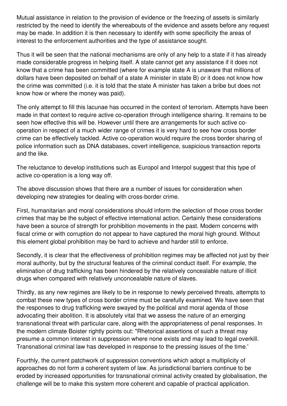Mutual assistance in relation to the provision of evidence or the freezing of assets is similarly restricted by the need to identify the whereabouts of the evidence and assets before any request may be made. In addition it is then necessary to identify with some specificity the areas of interest to the enforcement authorities and the type of assistance sought.

Thus it will be seen that the national mechanisms are only of any help to a state if it has already made considerable progress in helping itself. A state cannot get any assistance if it does not know that a crime has been committed (where for example state A is unaware that millions of dollars have been deposited on behalf of a state A minister in state B) or it does not know how the crime was committed (i.e. it is told that the state A minister has taken a bribe but does not know how or where the money was paid).

The only attempt to fill this lacunae has occurred in the context of terrorism. Attempts have been made in that context to require active co-operation through intelligence sharing. It remains to be seen how effective this will be. However until there are arrangements for such active cooperation in respect of a much wider range of crimes it is very hard to see how cross border crime can be effectively tackled. Active co-operation would require the cross border sharing of police information such as DNA databases, covert intelligence, suspicious transaction reports and the like.

The reluctance to develop institutions such as Europol and Interpol suggest that this type of active co-operation is a long way off.

The above discussion shows that there are a number of issues for consideration when developing new strategies for dealing with cross-border crime.

First, humanitarian and moral considerations should inform the selection of those cross border crimes that may be the subject of effective international action. Certainly these considerations have been a source of strength for prohibition movements in the past. Modern concerns with fiscal crime or with corruption do not appear to have captured the moral high ground. Without this element global prohibition may be hard to achieve and harder still to enforce.

Secondly, it is clear that the effectiveness of prohibition regimes may be affected not just by their moral authority, but by the structural features of the criminal conduct itself. For example, the elimination of drug trafficking has been hindered by the relatively concealable nature of illicit drugs when compared with relatively unconcealable nature of slaves.

Thirdly, as any new regimes are likely to be in response to newly perceived threats, attempts to combat these new types of cross border crime must be carefully examined. We have seen that the responses to drug trafficking were swayed by the political and moral agenda of those advocating their abolition. It is absolutely vital that we assess the nature of an emerging transnational threat with particular care, along with the appropriateness of penal responses. In the modern climate Boister rightly points out: "Rhetorical assertions of such a threat may presume a common interest in suppression where none exists and may lead to legal overkill. Transnational criminal law has developed in response to the pressing issues of the time.'

Fourthly, the current patchwork of suppression conventions which adopt a multiplicity of approaches do not form a coherent system of law. As jurisdictional barriers continue to be eroded by increased opportunities for transnational criminal activity created by globalisation, the challenge will be to make this system more coherent and capable of practical application.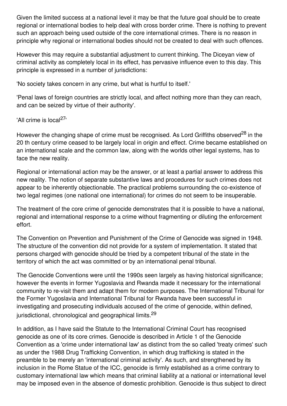Given the limited success at a national level it may be that the future goal should be to create regional or international bodies to help deal with cross border crime. There is nothing to prevent such an approach being used outside of the core international crimes. There is no reason in principle why regional or international bodies should not be created to deal with such offences.

However this may require a substantial adjustment to current thinking. The Diceyan view of criminal activity as completely local in its effect, has pervasive influence even to this day. This principle is expressed in a number of jurisdictions:

'No society takes concern in any crime, but what is hurtful to itself.'

'Penal laws of foreign countries are strictly local, and affect nothing more than they can reach, and can be seized by virtue of their authority'.

'All crime is local<sup>27</sup>'

However the changing shape of crime must be recognised. As Lord Griffiths observed<sup>28</sup> in the 20 th century crime ceased to be largely local in origin and effect. Crime became established on an international scale and the common law, along with the worlds other legal systems, has to face the new reality.

Regional or international action may be the answer, or at least a partial answer to address this new reality. The notion of separate substantive laws and procedures for such crimes does not appear to be inherently objectionable. The practical problems surrounding the co-existence of two legal regimes (one national one international) for crimes do not seem to be insuperable.

The treatment of the core crime of genocide demonstrates that it is possible to have a national, regional and international response to a crime without fragmenting or diluting the enforcement effort.

The Convention on Prevention and Punishment of the Crime of Genocide was signed in 1948. The structure of the convention did not provide for a system of implementation. It stated that persons charged with genocide should be tried by a competent tribunal of the state in the territory of which the act was committed or by an international penal tribunal.

The Genocide Conventions were until the 1990s seen largely as having historical significance; however the events in former Yugoslavia and Rwanda made it necessary for the international community to re-visit them and adapt them for modern purposes. The International Tribunal for the Former Yugoslavia and International Tribunal for Rwanda have been successful in investigating and prosecuting individuals accused of the crime of genocide, within defined, jurisdictional, chronological and geographical limits.<sup>29</sup>

In addition, as I have said the Statute to the International Criminal Court has recognised genocide as one of its core crimes. Genocide is described in Article 1 of the Genocide Convention as a 'crime under international law' as distinct from the so called 'treaty crimes' such as under the 1988 Drug Trafficking Convention, in which drug trafficking is stated in the preamble to be merely an 'international criminal activity'. As such, and strengthened by its inclusion in the Rome Statue of the ICC, genocide is firmly established as a crime contrary to customary international law which means that criminal liability at a national or international level may be imposed even in the absence of domestic prohibition. Genocide is thus subject to direct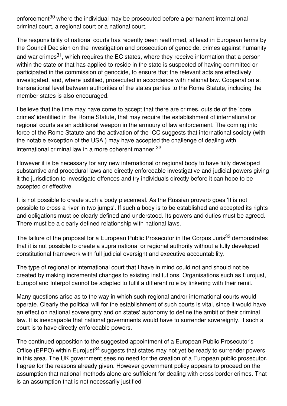enforcement<sup>30</sup> where the individual may be prosecuted before a permanent international criminal court, a regional court or a national court.

The responsibility of national courts has recently been reaffirmed, at least in European terms by the Council Decision on the investigation and prosecution of genocide, crimes against humanity and war crimes<sup>31</sup>, which requires the EC states, where they receive information that a person within the state or that has applied to reside in the state is suspected of having committed or participated in the commission of genocide, to ensure that the relevant acts are effectively investigated, and, where justified, prosecuted in accordance with national law. Cooperation at transnational level between authorities of the states parties to the Rome Statute, including the member states is also encouraged.

I believe that the time may have come to accept that there are crimes, outside of the 'core crimes' identified in the Rome Statute, that may require the establishment of international or regional courts as an additional weapon in the armoury of law enforcement. The coming into force of the Rome Statute and the activation of the ICC suggests that international society (with the notable exception of the USA ) may have accepted the challenge of dealing with international criminal law in a more coherent manner. 32

However it is be necessary for any new international or regional body to have fully developed substantive and procedural laws and directly enforceable investigative and judicial powers giving it the jurisdiction to investigate offences and try individuals directly before it can hope to be accepted or effective.

It is not possible to create such a body piecemeal. As the Russian proverb goes 'It is not possible to cross a river in two jumps'. If such a body is to be established and accepted its rights and obligations must be clearly defined and understood. Its powers and duties must be agreed. There must be a clearly defined relationship with national laws.

The failure of the proposal for a European Public Prosecutor in the Corpus Juris<sup>33</sup> demonstrates that it is not possible to create a supra national or regional authority without a fully developed constitutional framework with full judicial oversight and executive accountability.

The type of regional or international court that I have in mind could not and should not be created by making incremental changes to existing institutions. Organisations such as Eurojust, Europol and Interpol cannot be adapted to fulfil a different role by tinkering with their remit.

Many questions arise as to the way in which such regional and/or international courts would operate. Clearly the political will for the establishment of such courts is vital, since it would have an effect on national sovereignty and on states' autonomy to define the ambit of their criminal law. It is inescapable that national governments would have to surrender sovereignty, if such a court is to have directly enforceable powers.

The continued opposition to the suggested appointment of a European Public Prosecutor's Office (EPPO) within Eurojust<sup>34</sup> suggests that states may not yet be ready to surrender powers in this area. The UK government sees no need for the creation of a European public prosecutor. I agree for the reasons already given. However government policy appears to proceed on the assumption that national methods alone are sufficient for dealing with cross border crimes. That is an assumption that is not necessarily justified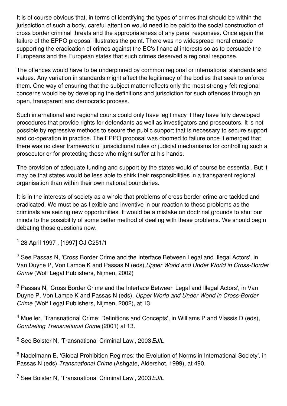It is of course obvious that, in terms of identifying the types of crimes that should be within the jurisdiction of such a body, careful attention would need to be paid to the social construction of cross border criminal threats and the appropriateness of any penal responses. Once again the failure of the EPPO proposal illustrates the point. There was no widespread moral crusade supporting the eradication of crimes against the EC's financial interests so as to persuade the Europeans and the European states that such crimes deserved a regional response.

The offences would have to be underpinned by common regional or international standards and values. Any variation in standards might affect the legitimacy of the bodies that seek to enforce them. One way of ensuring that the subject matter reflects only the most strongly felt regional concerns would be by developing the definitions and jurisdiction for such offences through an open, transparent and democratic process.

Such international and regional courts could only have legitimacy if they have fully developed procedures that provide rights for defendants as well as investigators and prosecutors. It is not possible by repressive methods to secure the public support that is necessary to secure support and co-operation in practice. The EPPO proposal was doomed to failure once it emerged that there was no clear framework of jurisdictional rules or judicial mechanisms for controlling such a prosecutor or for protecting those who might suffer at his hands.

The provision of adequate funding and support by the states would of course be essential. But it may be that states would be less able to shirk their responsibilities in a transparent regional organisation than within their own national boundaries.

It is in the interests of society as a whole that problems of cross border crime are tackled and eradicated. We must be as flexible and inventive in our reaction to these problems as the criminals are seizing new opportunities. It would be a mistake on doctrinal grounds to shut our minds to the possibility of some better method of dealing with these problems. We should begin debating those questions now.

<sup>1</sup> 28 April 1997 , [1997] OJ C251/1

<sup>2</sup> See Passas N, 'Cross Border Crime and the Interface Between Legal and Illegal Actors', in Van Duyne P, Von Lampe K and Passas N (eds),*Upper World and Under World in Cross-Border Crime* (Wolf Legal Publishers, Nijmen, 2002)

<sup>3</sup> Passas N, 'Cross Border Crime and the Interface Between Legal and Illegal Actors', in Van Duyne P, Von Lampe K and Passas N (eds), *Upper World and Under World in Cross-Border Crime* (Wolf Legal Publishers, Nijmen, 2002), at 13.

<sup>4</sup> Mueller, 'Transnational Crime: Definitions and Concepts', in Williams P and Vlassis D (eds), *Combating Transnational Crime* (2001) at 13.

<sup>5</sup> See Boister N, 'Transnational Criminal Law', 2003*EJIL*

<sup>6</sup> Nadelmann E, 'Global Prohibition Regimes: the Evolution of Norms in International Society', in Passas N (eds) *Transnational Crime* (Ashgate, Aldershot, 1999), at 490.

<sup>7</sup> See Boister N, 'Transnational Criminal Law', 2003*EJIL*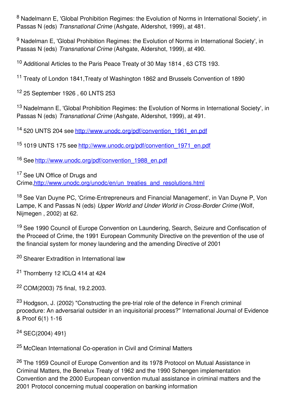<sup>8</sup> Nadelmann E, 'Global Prohibition Regimes: the Evolution of Norms in International Society', in Passas N (eds) *Transnational Crime* (Ashgate, Aldershot, 1999), at 481.

9 Nadelman E, 'Global Prohibition Regimes: the Evolution of Norms in International Society', in Passas N (eds) *Transnational Crime* (Ashgate, Aldershot, 1999), at 490.

<sup>10</sup> Additional Articles to the Paris Peace Treaty of 30 May 1814 , 63 CTS 193.

<sup>11</sup> Treaty of London 1841,Treaty of Washington 1862 and Brussels Convention of 1890

<sup>12</sup> 25 September 1926 , 60 LNTS 253

<sup>13</sup> Nadelmann E, 'Global Prohibition Regimes: the Evolution of Norms in International Society', in Passas N (eds) *Transnational Crime* (Ashgate, Aldershot, 1999), at 491.

<sup>14</sup> 520 UNTS 204 see [http://www.unodc.org/pdf/convention\\_1961\\_en.pdf](http://www.unodc.org/pdf/convention_1961_en.pdf)

<sup>15</sup> 1019 UNTS 175 see [http://www.unodc.org/pdf/convention\\_1971\\_en.pdf](http://www.unodc.org/pdf/convention_1971_en.pdf)

<sup>16</sup> See [http://www.unodc.org/pdf/convention\\_1988\\_en.pdf](http://www.unodc.org/pdf/convention_1988_en.pdf)

<sup>17</sup> See UN Office of Drugs and Crime,[http://www.unodc.org/unodc/en/un\\_treaties\\_and\\_resolutions.html](http://www.unodc.org/unodc/en/un_treaties_and_resolutions.html)

<sup>18</sup> See Van Duyne PC, 'Crime-Entrepreneurs and Financial Management', in Van Duyne P, Von Lampe, K and Passas N (eds) *Upper World and Under World in Cross-Border Crime* (Wolf, Nijmegen , 2002) at 62.

<sup>19</sup> See 1990 Council of Europe Convention on Laundering, Search, Seizure and Confiscation of the Proceed of Crime, the 1991 European Community Directive on the prevention of the use of the financial system for money laundering and the amending Directive of 2001

<sup>20</sup> Shearer Extradition in International law

<sup>21</sup> Thornberry 12 ICLQ 414 at 424

<sup>22</sup> COM(2003) 75 final, 19.2.2003.

<sup>23</sup> Hodgson, J. (2002) "Constructing the pre-trial role of the defence in French criminal procedure: An adversarial outsider in an inquisitorial process?" International Journal of Evidence & Proof 6(1) 1-16

<sup>24</sup> SEC(2004) 491}

<sup>25</sup> McClean International Co-operation in Civil and Criminal Matters

<sup>26</sup> The 1959 Council of Europe Convention and its 1978 Protocol on Mutual Assistance in Criminal Matters, the Benelux Treaty of 1962 and the 1990 Schengen implementation Convention and the 2000 European convention mutual assistance in criminal matters and the 2001 Protocol concerning mutual cooperation on banking information